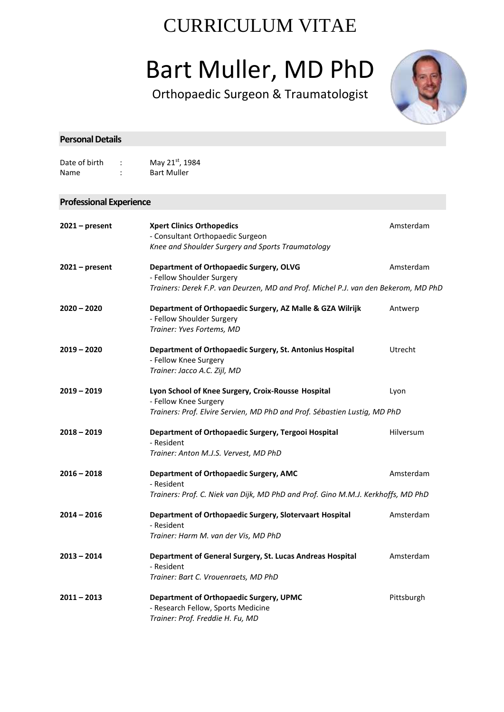## CURRICULUM VITAE

# Bart Muller, MD PhD

Orthopaedic Surgeon & Traumatologist



| <b>Personal Details</b>        |                                                                                                                                                            |            |
|--------------------------------|------------------------------------------------------------------------------------------------------------------------------------------------------------|------------|
| Date of birth<br>Name          | May 21st, 1984<br><b>Bart Muller</b>                                                                                                                       |            |
| <b>Professional Experience</b> |                                                                                                                                                            |            |
| $2021$ – present               | <b>Xpert Clinics Orthopedics</b><br>- Consultant Orthopaedic Surgeon<br>Knee and Shoulder Surgery and Sports Traumatology                                  | Amsterdam  |
| $2021$ – present               | Department of Orthopaedic Surgery, OLVG<br>- Fellow Shoulder Surgery<br>Trainers: Derek F.P. van Deurzen, MD and Prof. Michel P.J. van den Bekerom, MD PhD | Amsterdam  |
| $2020 - 2020$                  | Department of Orthopaedic Surgery, AZ Malle & GZA Wilrijk<br>- Fellow Shoulder Surgery<br>Trainer: Yves Fortems, MD                                        | Antwerp    |
| $2019 - 2020$                  | Department of Orthopaedic Surgery, St. Antonius Hospital<br>- Fellow Knee Surgery<br>Trainer: Jacco A.C. Zijl, MD                                          | Utrecht    |
| $2019 - 2019$                  | Lyon School of Knee Surgery, Croix-Rousse Hospital<br>- Fellow Knee Surgery<br>Trainers: Prof. Elvire Servien, MD PhD and Prof. Sébastien Lustig, MD PhD   | Lyon       |
| $2018 - 2019$                  | Department of Orthopaedic Surgery, Tergooi Hospital<br>- Resident<br>Trainer: Anton M.J.S. Vervest, MD PhD                                                 | Hilversum  |
| $2016 - 2018$                  | <b>Department of Orthopaedic Surgery, AMC</b><br>- Resident<br>Trainers: Prof. C. Niek van Dijk, MD PhD and Prof. Gino M.M.J. Kerkhoffs, MD PhD            | Amsterdam  |
| 2014 – 2016                    | Department of Orthopaedic Surgery, Slotervaart Hospital<br>- Resident<br>Trainer: Harm M. van der Vis, MD PhD                                              | Amsterdam  |
| $2013 - 2014$                  | Department of General Surgery, St. Lucas Andreas Hospital<br>- Resident<br>Trainer: Bart C. Vrouenraets, MD PhD                                            | Amsterdam  |
| $2011 - 2013$                  | <b>Department of Orthopaedic Surgery, UPMC</b><br>- Research Fellow, Sports Medicine<br>Trainer: Prof. Freddie H. Fu, MD                                   | Pittsburgh |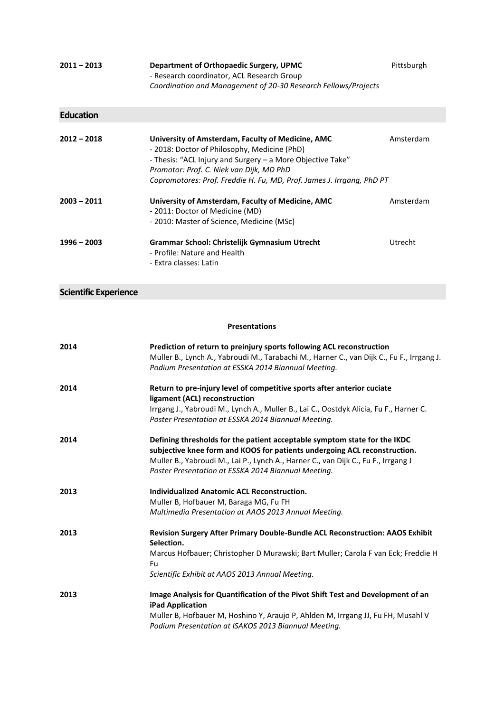| 2011 – 2013 | Department of Orthopaedic Surgery, UPMC                        | Pittsburgh |
|-------------|----------------------------------------------------------------|------------|
|             | - Research coordinator, ACL Research Group                     |            |
|             | Coordination and Management of 20-30 Research Fellows/Projects |            |

#### **Education**

| $2012 - 2018$ | University of Amsterdam, Faculty of Medicine, AMC<br>- 2018: Doctor of Philosophy, Medicine (PhD)<br>- Thesis: "ACL Injury and Surgery – a More Objective Take"<br>Promotor: Prof. C. Niek van Dijk, MD PhD<br>Copromotores: Prof. Freddie H. Fu, MD, Prof. James J. Irrgang, PhD PT | Amsterdam |
|---------------|--------------------------------------------------------------------------------------------------------------------------------------------------------------------------------------------------------------------------------------------------------------------------------------|-----------|
| $2003 - 2011$ | University of Amsterdam, Faculty of Medicine, AMC<br>- 2011: Doctor of Medicine (MD)<br>- 2010: Master of Science, Medicine (MSc)                                                                                                                                                    | Amsterdam |
| $1996 - 2003$ | Grammar School: Christelijk Gymnasium Utrecht<br>- Profile: Nature and Health<br>- Extra classes: Latin                                                                                                                                                                              | Utrecht   |

#### **Scientific Experience**

#### **Presentations**

| 2014 | Prediction of return to preinjury sports following ACL reconstruction<br>Muller B., Lynch A., Yabroudi M., Tarabachi M., Harner C., van Dijk C., Fu F., Irrgang J. |
|------|--------------------------------------------------------------------------------------------------------------------------------------------------------------------|
|      | Podium Presentation at ESSKA 2014 Biannual Meeting.                                                                                                                |
| 2014 | Return to pre-injury level of competitive sports after anterior cuciate                                                                                            |
|      | ligament (ACL) reconstruction                                                                                                                                      |
|      | Irrgang J., Yabroudi M., Lynch A., Muller B., Lai C., Oostdyk Alicia, Fu F., Harner C.<br>Poster Presentation at ESSKA 2014 Biannual Meeting.                      |
| 2014 | Defining thresholds for the patient acceptable symptom state for the IKDC                                                                                          |
|      | subjective knee form and KOOS for patients undergoing ACL reconstruction.                                                                                          |
|      | Muller B., Yabroudi M., Lai P., Lynch A., Harner C., van Dijk C., Fu F., Irrgang J                                                                                 |
|      | Poster Presentation at ESSKA 2014 Biannual Meeting.                                                                                                                |
| 2013 | <b>Individualized Anatomic ACL Reconstruction.</b>                                                                                                                 |
|      | Muller B, Hofbauer M, Baraga MG, Fu FH                                                                                                                             |
|      | Multimedia Presentation at AAOS 2013 Annual Meeting.                                                                                                               |
| 2013 | Revision Surgery After Primary Double-Bundle ACL Reconstruction: AAOS Exhibit<br>Selection.                                                                        |
|      | Marcus Hofbauer; Christopher D Murawski; Bart Muller; Carola F van Eck; Freddie H                                                                                  |
|      | Fu                                                                                                                                                                 |
|      | Scientific Exhibit at AAOS 2013 Annual Meeting.                                                                                                                    |
| 2013 | Image Analysis for Quantification of the Pivot Shift Test and Development of an<br><b>iPad Application</b>                                                         |
|      | Muller B, Hofbauer M, Hoshino Y, Araujo P, Ahlden M, Irrgang JJ, Fu FH, Musahl V                                                                                   |
|      | Podium Presentation at ISAKOS 2013 Biannual Meeting.                                                                                                               |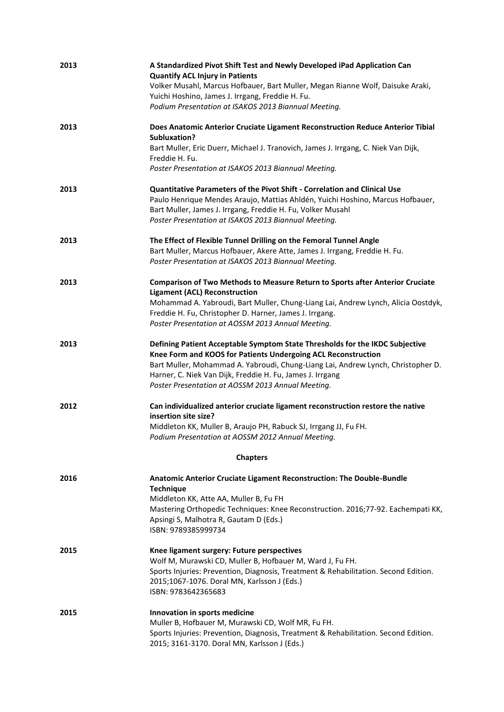| 2013 | A Standardized Pivot Shift Test and Newly Developed iPad Application Can<br><b>Quantify ACL Injury in Patients</b><br>Volker Musahl, Marcus Hofbauer, Bart Muller, Megan Rianne Wolf, Daisuke Araki,<br>Yuichi Hoshino, James J. Irrgang, Freddie H. Fu.<br>Podium Presentation at ISAKOS 2013 Biannual Meeting.                                    |
|------|-----------------------------------------------------------------------------------------------------------------------------------------------------------------------------------------------------------------------------------------------------------------------------------------------------------------------------------------------------|
| 2013 | Does Anatomic Anterior Cruciate Ligament Reconstruction Reduce Anterior Tibial<br>Subluxation?<br>Bart Muller, Eric Duerr, Michael J. Tranovich, James J. Irrgang, C. Niek Van Dijk,<br>Freddie H. Fu.<br>Poster Presentation at ISAKOS 2013 Biannual Meeting.                                                                                      |
| 2013 | Quantitative Parameters of the Pivot Shift - Correlation and Clinical Use<br>Paulo Henrique Mendes Araujo, Mattias Ahldén, Yuichi Hoshino, Marcus Hofbauer,<br>Bart Muller, James J. Irrgang, Freddie H. Fu, Volker Musahl<br>Poster Presentation at ISAKOS 2013 Biannual Meeting.                                                                  |
| 2013 | The Effect of Flexible Tunnel Drilling on the Femoral Tunnel Angle<br>Bart Muller, Marcus Hofbauer, Akere Atte, James J. Irrgang, Freddie H. Fu.<br>Poster Presentation at ISAKOS 2013 Biannual Meeting.                                                                                                                                            |
| 2013 | <b>Comparison of Two Methods to Measure Return to Sports after Anterior Cruciate</b><br><b>Ligament (ACL) Reconstruction</b><br>Mohammad A. Yabroudi, Bart Muller, Chung-Liang Lai, Andrew Lynch, Alicia Oostdyk,<br>Freddie H. Fu, Christopher D. Harner, James J. Irrgang.<br>Poster Presentation at AOSSM 2013 Annual Meeting.                   |
| 2013 | Defining Patient Acceptable Symptom State Thresholds for the IKDC Subjective<br>Knee Form and KOOS for Patients Undergoing ACL Reconstruction<br>Bart Muller, Mohammad A. Yabroudi, Chung-Liang Lai, Andrew Lynch, Christopher D.<br>Harner, C. Niek Van Dijk, Freddie H. Fu, James J. Irrgang<br>Poster Presentation at AOSSM 2013 Annual Meeting. |
| 2012 | Can individualized anterior cruciate ligament reconstruction restore the native<br>insertion site size?<br>Middleton KK, Muller B, Araujo PH, Rabuck SJ, Irrgang JJ, Fu FH.<br>Podium Presentation at AOSSM 2012 Annual Meeting.                                                                                                                    |
|      | <b>Chapters</b>                                                                                                                                                                                                                                                                                                                                     |
| 2016 | Anatomic Anterior Cruciate Ligament Reconstruction: The Double-Bundle<br><b>Technique</b><br>Middleton KK, Atte AA, Muller B, Fu FH<br>Mastering Orthopedic Techniques: Knee Reconstruction. 2016;77-92. Eachempati KK,<br>Apsingi S, Malhotra R, Gautam D (Eds.)<br>ISBN: 9789385999734                                                            |
| 2015 | Knee ligament surgery: Future perspectives<br>Wolf M, Murawski CD, Muller B, Hofbauer M, Ward J, Fu FH.<br>Sports Injuries: Prevention, Diagnosis, Treatment & Rehabilitation. Second Edition.<br>2015;1067-1076. Doral MN, Karlsson J (Eds.)<br>ISBN: 9783642365683                                                                                |
| 2015 | Innovation in sports medicine<br>Muller B, Hofbauer M, Murawski CD, Wolf MR, Fu FH.<br>Sports Injuries: Prevention, Diagnosis, Treatment & Rehabilitation. Second Edition.<br>2015; 3161-3170. Doral MN, Karlsson J (Eds.)                                                                                                                          |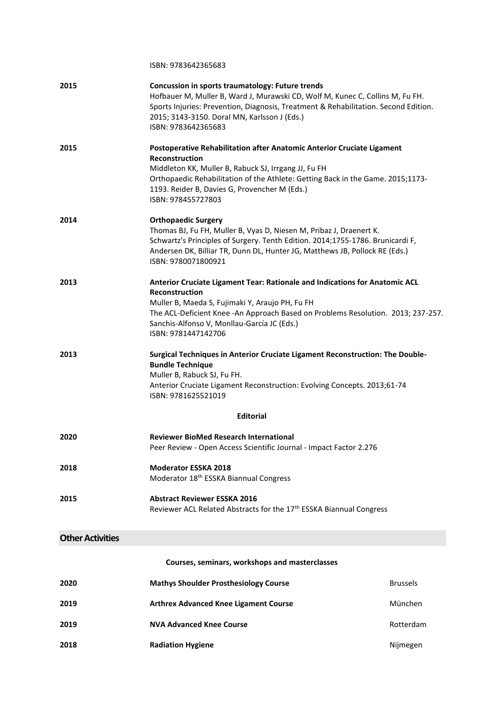|                         | ISBN: 9783642365683                                                                                                                                                                                                                                                                                               |
|-------------------------|-------------------------------------------------------------------------------------------------------------------------------------------------------------------------------------------------------------------------------------------------------------------------------------------------------------------|
| 2015                    | Concussion in sports traumatology: Future trends<br>Hofbauer M, Muller B, Ward J, Murawski CD, Wolf M, Kunec C, Collins M, Fu FH.<br>Sports Injuries: Prevention, Diagnosis, Treatment & Rehabilitation. Second Edition.<br>2015; 3143-3150. Doral MN, Karlsson J (Eds.)<br>ISBN: 9783642365683                   |
| 2015                    | Postoperative Rehabilitation after Anatomic Anterior Cruciate Ligament<br><b>Reconstruction</b><br>Middleton KK, Muller B, Rabuck SJ, Irrgang JJ, Fu FH<br>Orthopaedic Rehabilitation of the Athlete: Getting Back in the Game. 2015;1173-<br>1193. Reider B, Davies G, Provencher M (Eds.)<br>ISBN: 978455727803 |
| 2014                    | <b>Orthopaedic Surgery</b><br>Thomas BJ, Fu FH, Muller B, Vyas D, Niesen M, Pribaz J, Draenert K.<br>Schwartz's Principles of Surgery. Tenth Edition. 2014;1755-1786. Brunicardi F,<br>Andersen DK, Billiar TR, Dunn DL, Hunter JG, Matthews JB, Pollock RE (Eds.)<br>ISBN: 9780071800921                         |
| 2013                    | Anterior Cruciate Ligament Tear: Rationale and Indications for Anatomic ACL<br><b>Reconstruction</b><br>Muller B, Maeda S, Fujimaki Y, Araujo PH, Fu FH<br>The ACL-Deficient Knee -An Approach Based on Problems Resolution. 2013; 237-257.<br>Sanchis-Alfonso V, Monllau-García JC (Eds.)<br>ISBN: 9781447142706 |
| 2013                    | Surgical Techniques in Anterior Cruciate Ligament Reconstruction: The Double-<br><b>Bundle Technique</b><br>Muller B, Rabuck SJ, Fu FH.<br>Anterior Cruciate Ligament Reconstruction: Evolving Concepts. 2013;61-74<br>ISBN: 9781625521019<br><b>Editorial</b>                                                    |
|                         |                                                                                                                                                                                                                                                                                                                   |
| 2020                    | <b>Reviewer BioMed Research International</b><br>Peer Review - Open Access Scientific Journal - Impact Factor 2.276                                                                                                                                                                                               |
| 2018                    | <b>Moderator ESSKA 2018</b><br>Moderator 18 <sup>th</sup> ESSKA Biannual Congress                                                                                                                                                                                                                                 |
| 2015                    | <b>Abstract Reviewer ESSKA 2016</b><br>Reviewer ACL Related Abstracts for the 17 <sup>th</sup> ESSKA Biannual Congress                                                                                                                                                                                            |
| <b>Other Activities</b> |                                                                                                                                                                                                                                                                                                                   |

#### **Other Activities**

#### **Courses, seminars, workshops and masterclasses**

| 2020 | <b>Mathys Shoulder Prosthesiology Course</b> | <b>Brussels</b> |
|------|----------------------------------------------|-----------------|
| 2019 | <b>Arthrex Advanced Knee Ligament Course</b> | München         |
| 2019 | <b>NVA Advanced Knee Course</b>              | Rotterdam       |
| 2018 | <b>Radiation Hygiene</b>                     | Nijmegen        |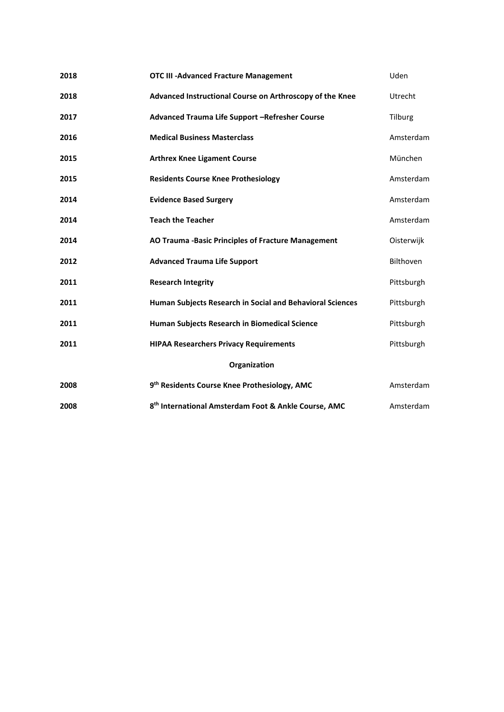| 2018         | <b>OTC III -Advanced Fracture Management</b>                     | Uden             |
|--------------|------------------------------------------------------------------|------------------|
| 2018         | Advanced Instructional Course on Arthroscopy of the Knee         | <b>Utrecht</b>   |
| 2017         | Advanced Trauma Life Support -Refresher Course                   | Tilburg          |
| 2016         | <b>Medical Business Masterclass</b>                              | Amsterdam        |
| 2015         | <b>Arthrex Knee Ligament Course</b>                              | München          |
| 2015         | <b>Residents Course Knee Prothesiology</b>                       | Amsterdam        |
| 2014         | <b>Evidence Based Surgery</b>                                    | Amsterdam        |
| 2014         | <b>Teach the Teacher</b>                                         | Amsterdam        |
| 2014         | AO Trauma -Basic Principles of Fracture Management               | Oisterwijk       |
| 2012         | <b>Advanced Trauma Life Support</b>                              | <b>Bilthoven</b> |
| 2011         | <b>Research Integrity</b>                                        | Pittsburgh       |
| 2011         | Human Subjects Research in Social and Behavioral Sciences        | Pittsburgh       |
| 2011         | Human Subjects Research in Biomedical Science                    | Pittsburgh       |
| 2011         | <b>HIPAA Researchers Privacy Requirements</b>                    | Pittsburgh       |
| Organization |                                                                  |                  |
| 2008         | 9th Residents Course Knee Prothesiology, AMC                     | Amsterdam        |
| 2008         | 8 <sup>th</sup> International Amsterdam Foot & Ankle Course, AMC | Amsterdam        |
|              |                                                                  |                  |